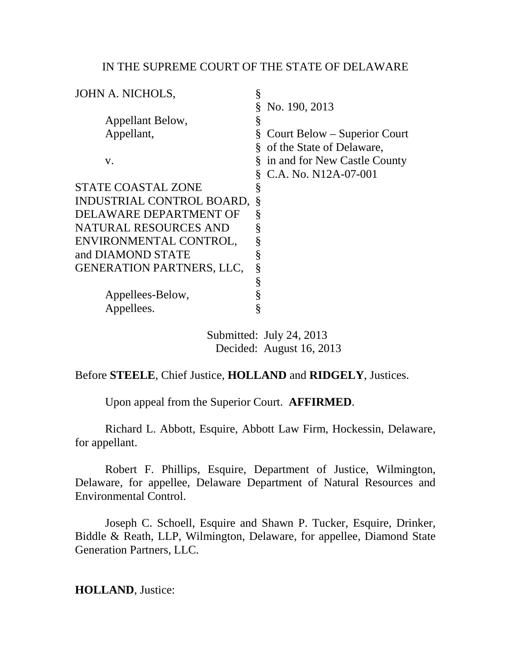### IN THE SUPREME COURT OF THE STATE OF DELAWARE

| JOHN A. NICHOLS,                 | § |                              |
|----------------------------------|---|------------------------------|
|                                  |   | No. 190, 2013                |
| Appellant Below,                 | § |                              |
| Appellant,                       | § | Court Below – Superior Court |
|                                  |   | of the State of Delaware,    |
| V.                               |   | in and for New Castle County |
|                                  |   | C.A. No. N12A-07-001         |
| <b>STATE COASTAL ZONE</b>        | ş |                              |
| INDUSTRIAL CONTROL BOARD,        |   |                              |
| DELAWARE DEPARTMENT OF           | § |                              |
| <b>NATURAL RESOURCES AND</b>     | § |                              |
| ENVIRONMENTAL CONTROL,           | § |                              |
| and DIAMOND STATE                | § |                              |
| <b>GENERATION PARTNERS, LLC,</b> | § |                              |
|                                  | § |                              |
| Appellees-Below,                 | § |                              |
| Appellees.                       | § |                              |
|                                  |   |                              |

 Submitted: July 24, 2013 Decided: August 16, 2013

# Before **STEELE**, Chief Justice, **HOLLAND** and **RIDGELY**, Justices.

Upon appeal from the Superior Court. **AFFIRMED**.

Richard L. Abbott, Esquire, Abbott Law Firm, Hockessin, Delaware, for appellant.

Robert F. Phillips, Esquire, Department of Justice, Wilmington, Delaware, for appellee, Delaware Department of Natural Resources and Environmental Control.

Joseph C. Schoell, Esquire and Shawn P. Tucker, Esquire, Drinker, Biddle & Reath, LLP, Wilmington, Delaware, for appellee, Diamond State Generation Partners, LLC.

**HOLLAND**, Justice: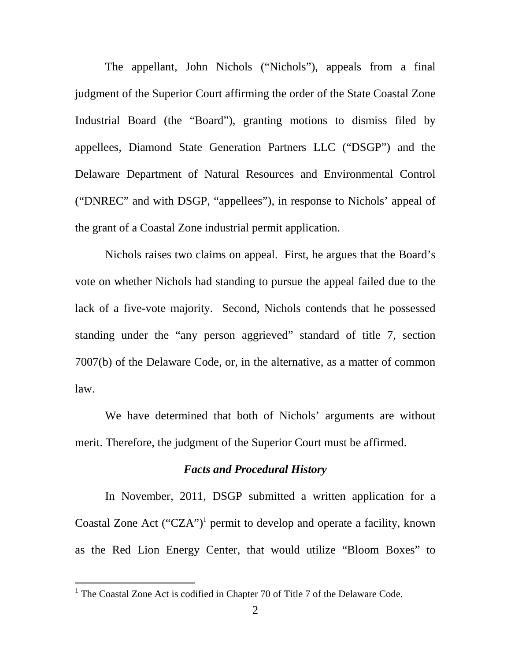The appellant, John Nichols ("Nichols"), appeals from a final judgment of the Superior Court affirming the order of the State Coastal Zone Industrial Board (the "Board"), granting motions to dismiss filed by appellees, Diamond State Generation Partners LLC ("DSGP") and the Delaware Department of Natural Resources and Environmental Control ("DNREC" and with DSGP, "appellees"), in response to Nichols' appeal of the grant of a Coastal Zone industrial permit application.

Nichols raises two claims on appeal. First, he argues that the Board's vote on whether Nichols had standing to pursue the appeal failed due to the lack of a five-vote majority. Second, Nichols contends that he possessed standing under the "any person aggrieved" standard of title 7, section 7007(b) of the Delaware Code, or, in the alternative, as a matter of common law.

We have determined that both of Nichols' arguments are without merit. Therefore, the judgment of the Superior Court must be affirmed.

### *Facts and Procedural History*

In November, 2011, DSGP submitted a written application for a Coastal Zone Act ("CZA")<sup>1</sup> permit to develop and operate a facility, known as the Red Lion Energy Center, that would utilize "Bloom Boxes" to

<sup>&</sup>lt;sup>1</sup> The Coastal Zone Act is codified in Chapter 70 of Title 7 of the Delaware Code.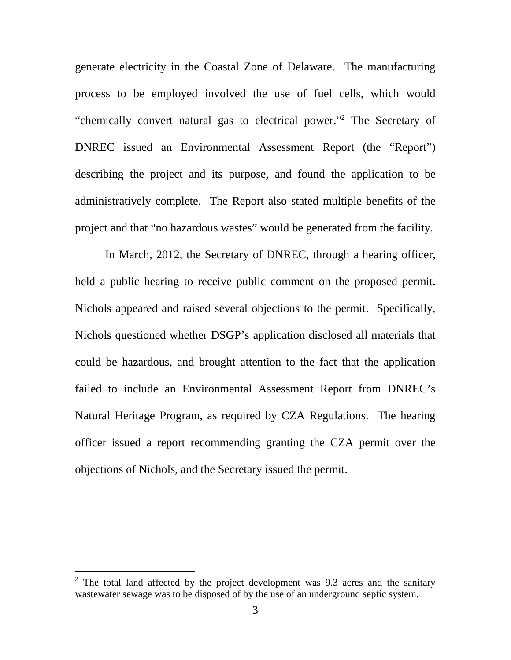generate electricity in the Coastal Zone of Delaware. The manufacturing process to be employed involved the use of fuel cells, which would "chemically convert natural gas to electrical power."<sup>2</sup> The Secretary of DNREC issued an Environmental Assessment Report (the "Report") describing the project and its purpose, and found the application to be administratively complete. The Report also stated multiple benefits of the project and that "no hazardous wastes" would be generated from the facility.

In March, 2012, the Secretary of DNREC, through a hearing officer, held a public hearing to receive public comment on the proposed permit. Nichols appeared and raised several objections to the permit. Specifically, Nichols questioned whether DSGP's application disclosed all materials that could be hazardous, and brought attention to the fact that the application failed to include an Environmental Assessment Report from DNREC's Natural Heritage Program, as required by CZA Regulations. The hearing officer issued a report recommending granting the CZA permit over the objections of Nichols, and the Secretary issued the permit.

 $\overline{a}$ 

 $2$  The total land affected by the project development was 9.3 acres and the sanitary wastewater sewage was to be disposed of by the use of an underground septic system.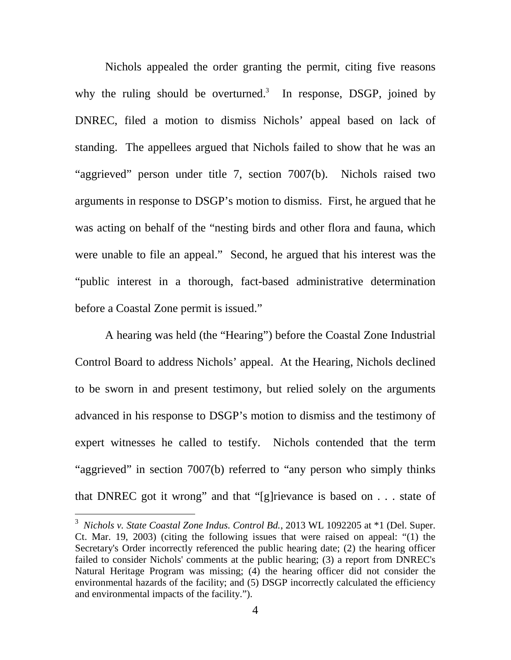Nichols appealed the order granting the permit, citing five reasons why the ruling should be overturned.<sup>3</sup> In response, DSGP, joined by DNREC, filed a motion to dismiss Nichols' appeal based on lack of standing. The appellees argued that Nichols failed to show that he was an "aggrieved" person under title 7, section 7007(b). Nichols raised two arguments in response to DSGP's motion to dismiss. First, he argued that he was acting on behalf of the "nesting birds and other flora and fauna, which were unable to file an appeal." Second, he argued that his interest was the "public interest in a thorough, fact-based administrative determination before a Coastal Zone permit is issued."

A hearing was held (the "Hearing") before the Coastal Zone Industrial Control Board to address Nichols' appeal. At the Hearing, Nichols declined to be sworn in and present testimony, but relied solely on the arguments advanced in his response to DSGP's motion to dismiss and the testimony of expert witnesses he called to testify. Nichols contended that the term "aggrieved" in section 7007(b) referred to "any person who simply thinks that DNREC got it wrong" and that "[g]rievance is based on . . . state of

 3 *Nichols v. State Coastal Zone Indus. Control Bd.*, 2013 WL 1092205 at \*1 (Del. Super. Ct. Mar. 19, 2003) (citing the following issues that were raised on appeal: "(1) the Secretary's Order incorrectly referenced the public hearing date; (2) the hearing officer failed to consider Nichols' comments at the public hearing; (3) a report from DNREC's Natural Heritage Program was missing; (4) the hearing officer did not consider the environmental hazards of the facility; and (5) DSGP incorrectly calculated the efficiency and environmental impacts of the facility.").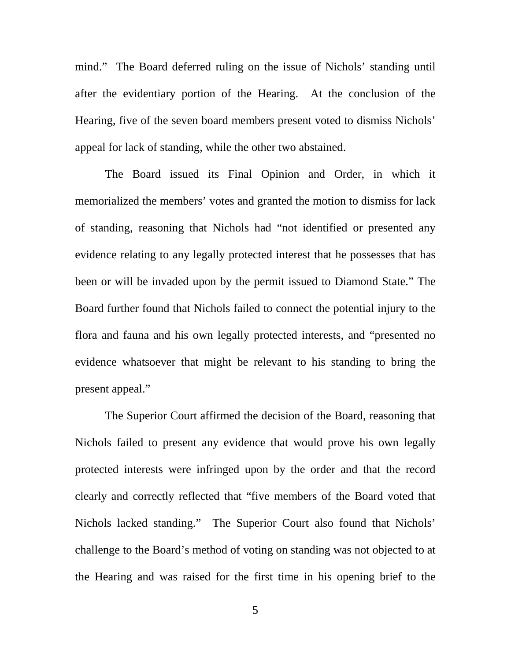mind." The Board deferred ruling on the issue of Nichols' standing until after the evidentiary portion of the Hearing. At the conclusion of the Hearing, five of the seven board members present voted to dismiss Nichols' appeal for lack of standing, while the other two abstained.

The Board issued its Final Opinion and Order, in which it memorialized the members' votes and granted the motion to dismiss for lack of standing, reasoning that Nichols had "not identified or presented any evidence relating to any legally protected interest that he possesses that has been or will be invaded upon by the permit issued to Diamond State." The Board further found that Nichols failed to connect the potential injury to the flora and fauna and his own legally protected interests, and "presented no evidence whatsoever that might be relevant to his standing to bring the present appeal."

The Superior Court affirmed the decision of the Board, reasoning that Nichols failed to present any evidence that would prove his own legally protected interests were infringed upon by the order and that the record clearly and correctly reflected that "five members of the Board voted that Nichols lacked standing." The Superior Court also found that Nichols' challenge to the Board's method of voting on standing was not objected to at the Hearing and was raised for the first time in his opening brief to the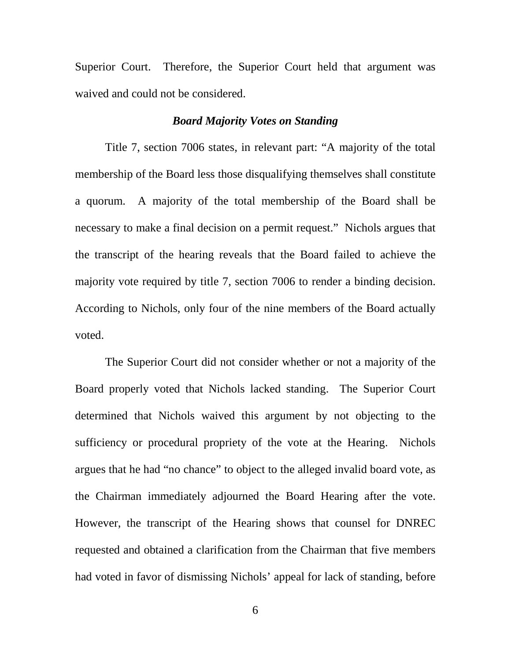Superior Court. Therefore, the Superior Court held that argument was waived and could not be considered.

# *Board Majority Votes on Standing*

Title 7, section 7006 states, in relevant part: "A majority of the total membership of the Board less those disqualifying themselves shall constitute a quorum. A majority of the total membership of the Board shall be necessary to make a final decision on a permit request." Nichols argues that the transcript of the hearing reveals that the Board failed to achieve the majority vote required by title 7, section 7006 to render a binding decision. According to Nichols, only four of the nine members of the Board actually voted.

The Superior Court did not consider whether or not a majority of the Board properly voted that Nichols lacked standing. The Superior Court determined that Nichols waived this argument by not objecting to the sufficiency or procedural propriety of the vote at the Hearing. Nichols argues that he had "no chance" to object to the alleged invalid board vote, as the Chairman immediately adjourned the Board Hearing after the vote. However, the transcript of the Hearing shows that counsel for DNREC requested and obtained a clarification from the Chairman that five members had voted in favor of dismissing Nichols' appeal for lack of standing, before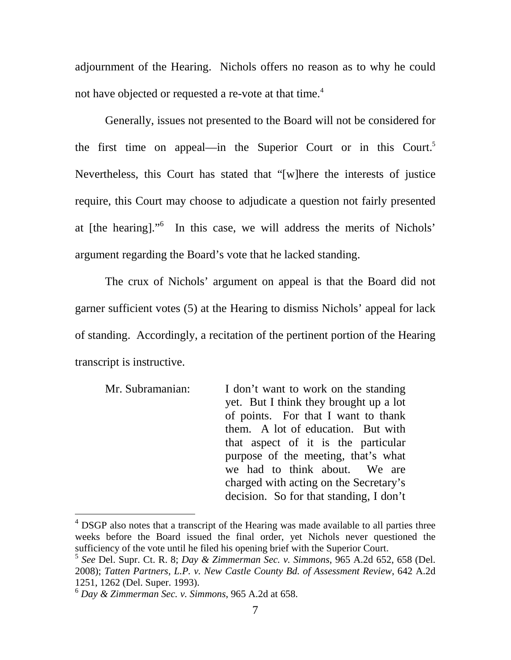adjournment of the Hearing. Nichols offers no reason as to why he could not have objected or requested a re-vote at that time.<sup>4</sup>

 Generally, issues not presented to the Board will not be considered for the first time on appeal—in the Superior Court or in this Court.<sup>5</sup> Nevertheless, this Court has stated that "[w]here the interests of justice require, this Court may choose to adjudicate a question not fairly presented at [the hearing]."<sup>6</sup> In this case, we will address the merits of Nichols' argument regarding the Board's vote that he lacked standing.

The crux of Nichols' argument on appeal is that the Board did not garner sufficient votes (5) at the Hearing to dismiss Nichols' appeal for lack of standing. Accordingly, a recitation of the pertinent portion of the Hearing transcript is instructive.

| Mr. Subramanian: | I don't want to work on the standing    |
|------------------|-----------------------------------------|
|                  | yet. But I think they brought up a lot  |
|                  | of points. For that I want to thank     |
|                  | them. A lot of education. But with      |
|                  | that aspect of it is the particular     |
|                  | purpose of the meeting, that's what     |
|                  | we had to think about. We are           |
|                  | charged with acting on the Secretary's  |
|                  | decision. So for that standing, I don't |

<sup>&</sup>lt;sup>4</sup> DSGP also notes that a transcript of the Hearing was made available to all parties three weeks before the Board issued the final order, yet Nichols never questioned the sufficiency of the vote until he filed his opening brief with the Superior Court.

<sup>5</sup> *See* Del. Supr. Ct. R. 8; *Day & Zimmerman Sec. v. Simmons*, 965 A.2d 652, 658 (Del. 2008); *Tatten Partners, L.P. v. New Castle County Bd. of Assessment Review*, 642 A.2d 1251, 1262 (Del. Super. 1993).

<sup>6</sup> *Day & Zimmerman Sec. v. Simmons*, 965 A.2d at 658.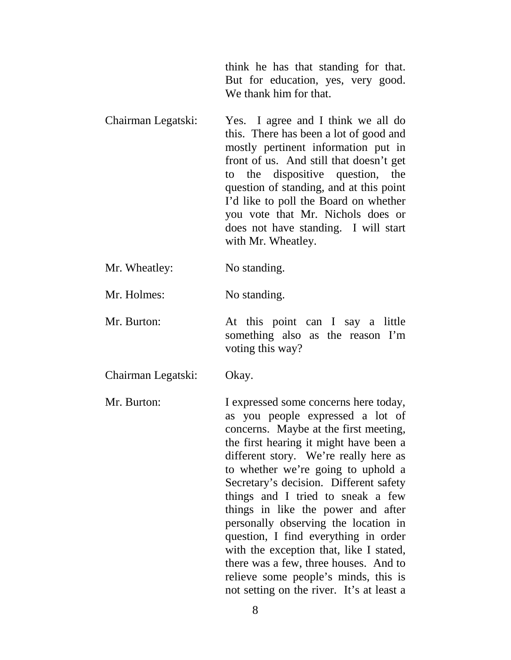think he has that standing for that. But for education, yes, very good. We thank him for that.

- Chairman Legatski: Yes. I agree and I think we all do this. There has been a lot of good and mostly pertinent information put in front of us. And still that doesn't get to the dispositive question, the question of standing, and at this point I'd like to poll the Board on whether you vote that Mr. Nichols does or does not have standing. I will start with Mr. Wheatley.
- Mr. Wheatley: No standing.

Mr. Holmes: No standing.

Mr. Burton: At this point can I say a little something also as the reason I'm voting this way?

Chairman Legatski: Okay.

Mr. Burton: I expressed some concerns here today, as you people expressed a lot of concerns. Maybe at the first meeting, the first hearing it might have been a different story. We're really here as to whether we're going to uphold a Secretary's decision. Different safety things and I tried to sneak a few things in like the power and after personally observing the location in question, I find everything in order with the exception that, like I stated, there was a few, three houses. And to relieve some people's minds, this is not setting on the river. It's at least a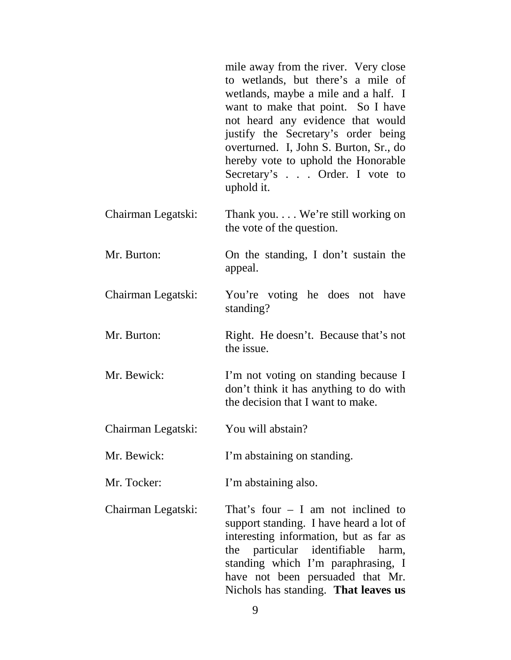|                    | mile away from the river. Very close<br>to wetlands, but there's a mile of<br>wetlands, maybe a mile and a half. I<br>want to make that point. So I have<br>not heard any evidence that would<br>justify the Secretary's order being<br>overturned. I, John S. Burton, Sr., do<br>hereby vote to uphold the Honorable<br>Secretary's Order. I vote to<br>uphold it. |
|--------------------|---------------------------------------------------------------------------------------------------------------------------------------------------------------------------------------------------------------------------------------------------------------------------------------------------------------------------------------------------------------------|
| Chairman Legatski: | Thank you. $\dots$ We're still working on<br>the vote of the question.                                                                                                                                                                                                                                                                                              |
| Mr. Burton:        | On the standing, I don't sustain the<br>appeal.                                                                                                                                                                                                                                                                                                                     |
| Chairman Legatski: | You're voting he does not have<br>standing?                                                                                                                                                                                                                                                                                                                         |
| Mr. Burton:        | Right. He doesn't. Because that's not<br>the issue.                                                                                                                                                                                                                                                                                                                 |
| Mr. Bewick:        | I'm not voting on standing because I<br>don't think it has anything to do with<br>the decision that I want to make.                                                                                                                                                                                                                                                 |
| Chairman Legatski: | You will abstain?                                                                                                                                                                                                                                                                                                                                                   |
| Mr. Bewick:        | I'm abstaining on standing.                                                                                                                                                                                                                                                                                                                                         |
| Mr. Tocker:        | I'm abstaining also.                                                                                                                                                                                                                                                                                                                                                |
| Chairman Legatski: | That's four $-$ I am not inclined to<br>support standing. I have heard a lot of<br>interesting information, but as far as<br>the particular identifiable harm,<br>standing which I'm paraphrasing, I<br>have not been persuaded that Mr.<br>Nichols has standing. That leaves us                                                                                    |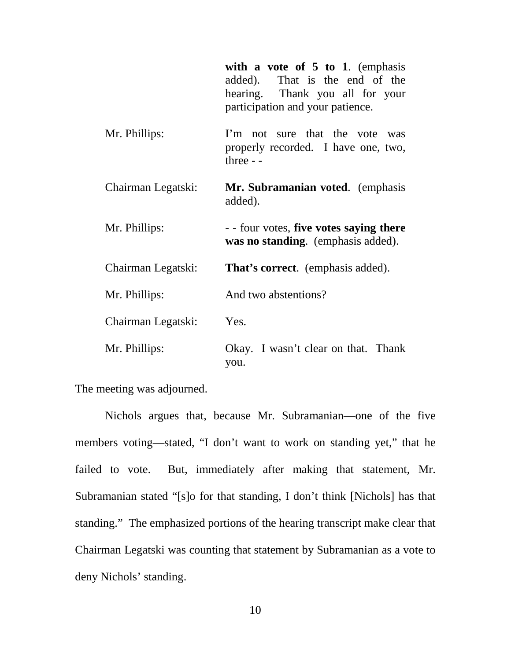|                    | with a vote of $5$ to 1. (emphasis<br>added). That is the end of the<br>hearing. Thank you all for your<br>participation and your patience. |
|--------------------|---------------------------------------------------------------------------------------------------------------------------------------------|
| Mr. Phillips:      | I'm not sure that the vote was<br>properly recorded. I have one, two,<br>three $-$                                                          |
| Chairman Legatski: | Mr. Subramanian voted. (emphasis<br>added).                                                                                                 |
| Mr. Phillips:      | - - four votes, five votes saying there<br>was no standing. (emphasis added).                                                               |
| Chairman Legatski: | <b>That's correct.</b> (emphasis added).                                                                                                    |
| Mr. Phillips:      | And two abstentions?                                                                                                                        |
| Chairman Legatski: | Yes.                                                                                                                                        |
| Mr. Phillips:      | Okay. I wasn't clear on that. Thank<br>you.                                                                                                 |

The meeting was adjourned.

Nichols argues that, because Mr. Subramanian—one of the five members voting—stated, "I don't want to work on standing yet," that he failed to vote. But, immediately after making that statement, Mr. Subramanian stated "[s]o for that standing, I don't think [Nichols] has that standing." The emphasized portions of the hearing transcript make clear that Chairman Legatski was counting that statement by Subramanian as a vote to deny Nichols' standing.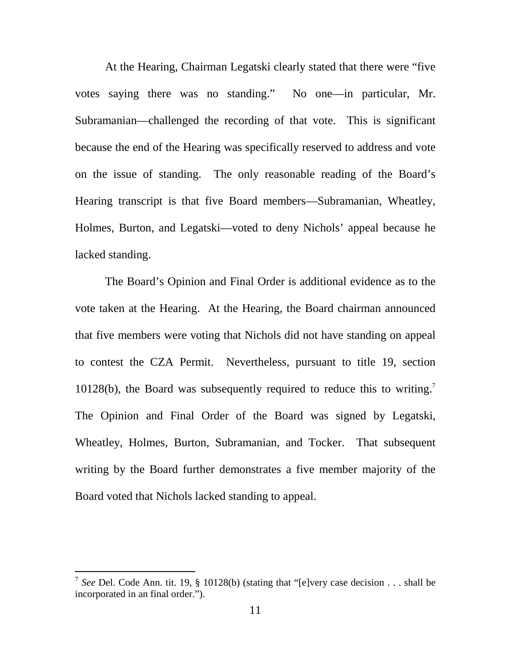At the Hearing, Chairman Legatski clearly stated that there were "five votes saying there was no standing." No one—in particular, Mr. Subramanian—challenged the recording of that vote. This is significant because the end of the Hearing was specifically reserved to address and vote on the issue of standing. The only reasonable reading of the Board's Hearing transcript is that five Board members—Subramanian, Wheatley, Holmes, Burton, and Legatski—voted to deny Nichols' appeal because he lacked standing.

The Board's Opinion and Final Order is additional evidence as to the vote taken at the Hearing. At the Hearing, the Board chairman announced that five members were voting that Nichols did not have standing on appeal to contest the CZA Permit. Nevertheless, pursuant to title 19, section 10128(b), the Board was subsequently required to reduce this to writing.<sup>7</sup> The Opinion and Final Order of the Board was signed by Legatski, Wheatley, Holmes, Burton, Subramanian, and Tocker. That subsequent writing by the Board further demonstrates a five member majority of the Board voted that Nichols lacked standing to appeal.

<sup>&</sup>lt;sup>7</sup> See Del. Code Ann. tit. 19, § 10128(b) (stating that "[e]very case decision . . . shall be incorporated in an final order.").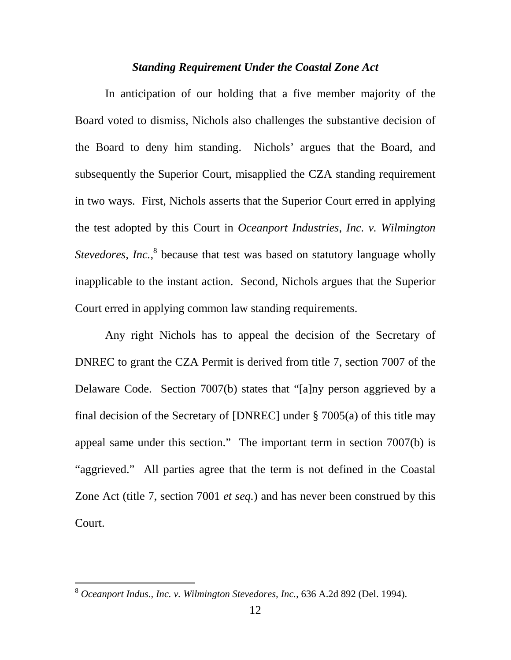#### *Standing Requirement Under the Coastal Zone Act*

In anticipation of our holding that a five member majority of the Board voted to dismiss, Nichols also challenges the substantive decision of the Board to deny him standing. Nichols' argues that the Board, and subsequently the Superior Court, misapplied the CZA standing requirement in two ways. First, Nichols asserts that the Superior Court erred in applying the test adopted by this Court in *Oceanport Industries, Inc. v. Wilmington*  Stevedores, Inc.,<sup>8</sup> because that test was based on statutory language wholly inapplicable to the instant action. Second, Nichols argues that the Superior Court erred in applying common law standing requirements.

 Any right Nichols has to appeal the decision of the Secretary of DNREC to grant the CZA Permit is derived from title 7, section 7007 of the Delaware Code. Section 7007(b) states that "[a]ny person aggrieved by a final decision of the Secretary of [DNREC] under § 7005(a) of this title may appeal same under this section." The important term in section 7007(b) is "aggrieved." All parties agree that the term is not defined in the Coastal Zone Act (title 7, section 7001 *et seq.*) and has never been construed by this Court.

 $\overline{a}$ 

<sup>8</sup> *Oceanport Indus., Inc. v. Wilmington Stevedores, Inc.*, 636 A.2d 892 (Del. 1994).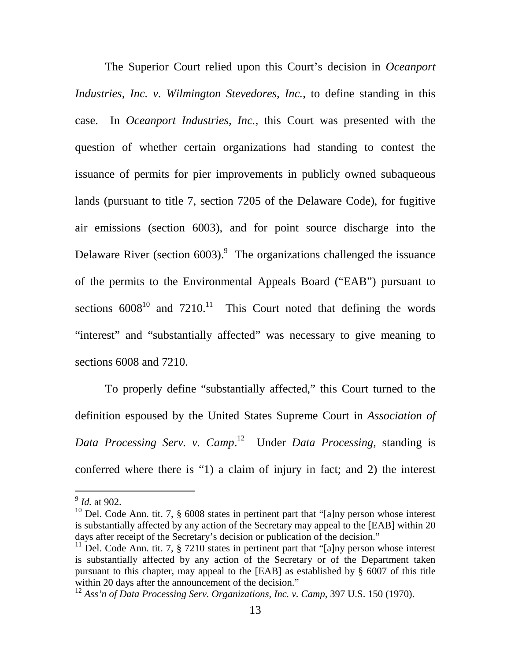The Superior Court relied upon this Court's decision in *Oceanport Industries, Inc. v. Wilmington Stevedores, Inc.*, to define standing in this case. In *Oceanport Industries, Inc.*, this Court was presented with the question of whether certain organizations had standing to contest the issuance of permits for pier improvements in publicly owned subaqueous lands (pursuant to title 7, section 7205 of the Delaware Code), for fugitive air emissions (section 6003), and for point source discharge into the Delaware River (section  $6003$ ).<sup>9</sup> The organizations challenged the issuance of the permits to the Environmental Appeals Board ("EAB") pursuant to sections  $6008^{10}$  and  $7210^{11}$  This Court noted that defining the words "interest" and "substantially affected" was necessary to give meaning to sections 6008 and 7210.

 To properly define "substantially affected," this Court turned to the definition espoused by the United States Supreme Court in *Association of Data Processing Serv. v. Camp*. <sup>12</sup> Under *Data Processing*, standing is conferred where there is "1) a claim of injury in fact; and 2) the interest

<sup>&</sup>lt;sup>9</sup> *Id.* at 902.

<sup>&</sup>lt;sup>10</sup> Del. Code Ann. tit. 7,  $\S$  6008 states in pertinent part that "[a]ny person whose interest is substantially affected by any action of the Secretary may appeal to the [EAB] within 20 days after receipt of the Secretary's decision or publication of the decision."

<sup>&</sup>lt;sup>11</sup> Del. Code Ann. tit. 7,  $\S$  7210 states in pertinent part that "[a]ny person whose interest is substantially affected by any action of the Secretary or of the Department taken pursuant to this chapter, may appeal to the [EAB] as established by § 6007 of this title within 20 days after the announcement of the decision."

<sup>12</sup> *Ass'n of Data Processing Serv. Organizations, Inc. v. Camp*, 397 U.S. 150 (1970).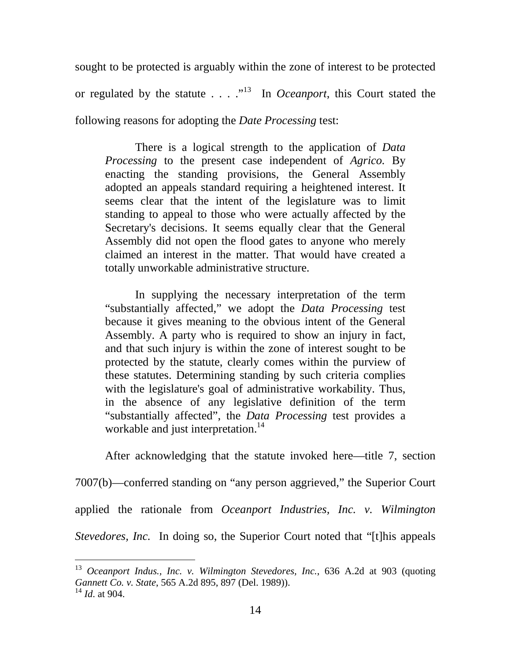sought to be protected is arguably within the zone of interest to be protected or regulated by the statute  $\ldots$   $\ldots$  <sup>13</sup> In *Oceanport*, this Court stated the following reasons for adopting the *Date Processing* test:

There is a logical strength to the application of *Data Processing* to the present case independent of *Agrico.* By enacting the standing provisions, the General Assembly adopted an appeals standard requiring a heightened interest. It seems clear that the intent of the legislature was to limit standing to appeal to those who were actually affected by the Secretary's decisions. It seems equally clear that the General Assembly did not open the flood gates to anyone who merely claimed an interest in the matter. That would have created a totally unworkable administrative structure.

In supplying the necessary interpretation of the term "substantially affected," we adopt the *Data Processing* test because it gives meaning to the obvious intent of the General Assembly. A party who is required to show an injury in fact, and that such injury is within the zone of interest sought to be protected by the statute, clearly comes within the purview of these statutes. Determining standing by such criteria complies with the legislature's goal of administrative workability. Thus, in the absence of any legislative definition of the term "substantially affected", the *Data Processing* test provides a workable and just interpretation.<sup>14</sup>

After acknowledging that the statute invoked here—title 7, section 7007(b)—conferred standing on "any person aggrieved," the Superior Court applied the rationale from *Oceanport Industries, Inc. v. Wilmington Stevedores, Inc.* In doing so, the Superior Court noted that "[t]his appeals

<sup>13</sup> *Oceanport Indus., Inc. v. Wilmington Stevedores, Inc.*, 636 A.2d at 903 (quoting *Gannett Co. v. State*, 565 A.2d 895, 897 (Del. 1989)).

<sup>14</sup> *Id*. at 904.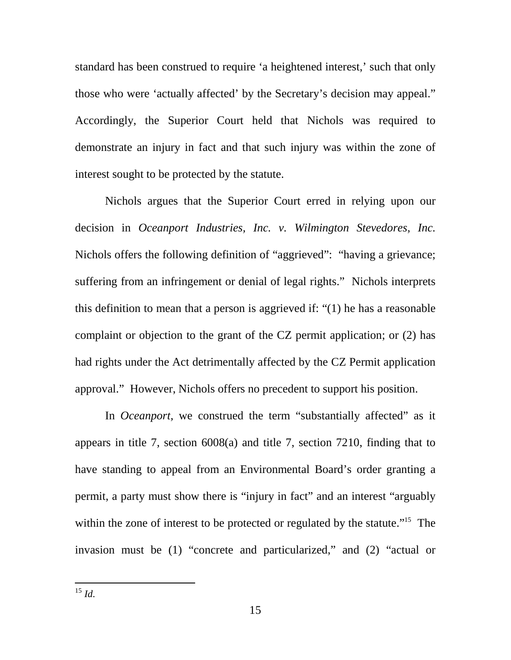standard has been construed to require 'a heightened interest,' such that only those who were 'actually affected' by the Secretary's decision may appeal." Accordingly, the Superior Court held that Nichols was required to demonstrate an injury in fact and that such injury was within the zone of interest sought to be protected by the statute.

Nichols argues that the Superior Court erred in relying upon our decision in *Oceanport Industries, Inc. v. Wilmington Stevedores, Inc.* Nichols offers the following definition of "aggrieved": "having a grievance; suffering from an infringement or denial of legal rights." Nichols interprets this definition to mean that a person is aggrieved if: "(1) he has a reasonable complaint or objection to the grant of the CZ permit application; or (2) has had rights under the Act detrimentally affected by the CZ Permit application approval." However, Nichols offers no precedent to support his position.

In *Oceanport*, we construed the term "substantially affected" as it appears in title 7, section 6008(a) and title 7, section 7210, finding that to have standing to appeal from an Environmental Board's order granting a permit, a party must show there is "injury in fact" and an interest "arguably within the zone of interest to be protected or regulated by the statute."<sup>15</sup> The invasion must be (1) "concrete and particularized," and (2) "actual or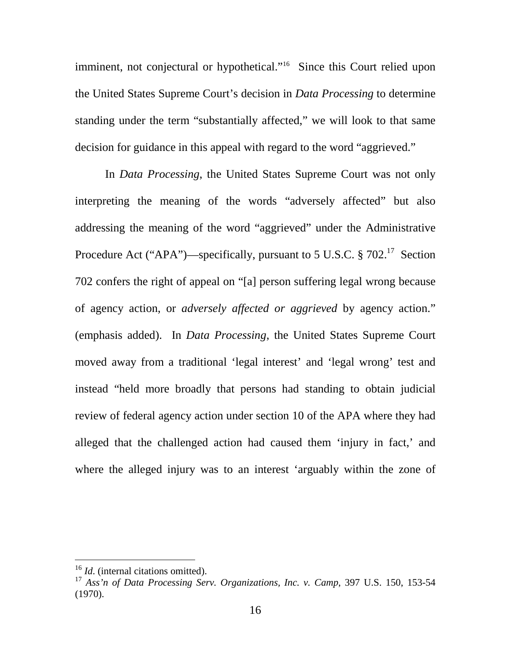imminent, not conjectural or hypothetical."<sup>16</sup> Since this Court relied upon the United States Supreme Court's decision in *Data Processing* to determine standing under the term "substantially affected," we will look to that same decision for guidance in this appeal with regard to the word "aggrieved."

 In *Data Processing*, the United States Supreme Court was not only interpreting the meaning of the words "adversely affected" but also addressing the meaning of the word "aggrieved" under the Administrative Procedure Act ("APA")—specifically, pursuant to 5 U.S.C.  $\S 702$ <sup>17</sup> Section 702 confers the right of appeal on "[a] person suffering legal wrong because of agency action, or *adversely affected or aggrieved* by agency action." (emphasis added). In *Data Processing*, the United States Supreme Court moved away from a traditional 'legal interest' and 'legal wrong' test and instead "held more broadly that persons had standing to obtain judicial review of federal agency action under section 10 of the APA where they had alleged that the challenged action had caused them 'injury in fact,' and where the alleged injury was to an interest 'arguably within the zone of

 $\overline{a}$ 

<sup>&</sup>lt;sup>16</sup> *Id.* (internal citations omitted).

<sup>17</sup> *Ass'n of Data Processing Serv. Organizations, Inc. v. Camp*, 397 U.S. 150, 153-54 (1970).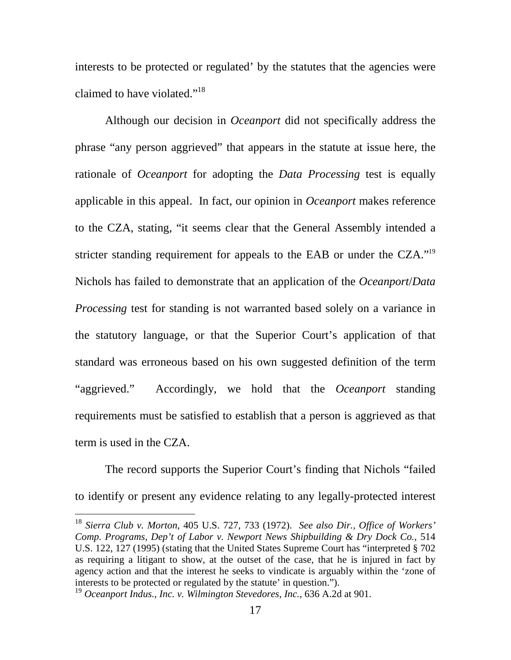interests to be protected or regulated' by the statutes that the agencies were claimed to have violated."<sup>18</sup>

Although our decision in *Oceanport* did not specifically address the phrase "any person aggrieved" that appears in the statute at issue here, the rationale of *Oceanport* for adopting the *Data Processing* test is equally applicable in this appeal. In fact, our opinion in *Oceanport* makes reference to the CZA, stating, "it seems clear that the General Assembly intended a stricter standing requirement for appeals to the EAB or under the CZA."<sup>19</sup> Nichols has failed to demonstrate that an application of the *Oceanport*/*Data Processing* test for standing is not warranted based solely on a variance in the statutory language, or that the Superior Court's application of that standard was erroneous based on his own suggested definition of the term "aggrieved." Accordingly, we hold that the *Oceanport* standing requirements must be satisfied to establish that a person is aggrieved as that term is used in the CZA.

The record supports the Superior Court's finding that Nichols "failed to identify or present any evidence relating to any legally-protected interest

<sup>18</sup> *Sierra Club v. Morton*, 405 U.S. 727, 733 (1972). *See also Dir., Office of Workers' Comp. Programs, Dep't of Labor v. Newport News Shipbuilding & Dry Dock Co.*, 514 U.S. 122, 127 (1995) (stating that the United States Supreme Court has "interpreted § 702 as requiring a litigant to show, at the outset of the case, that he is injured in fact by agency action and that the interest he seeks to vindicate is arguably within the 'zone of interests to be protected or regulated by the statute' in question.").

<sup>19</sup> *Oceanport Indus., Inc. v. Wilmington Stevedores, Inc.*, 636 A.2d at 901.